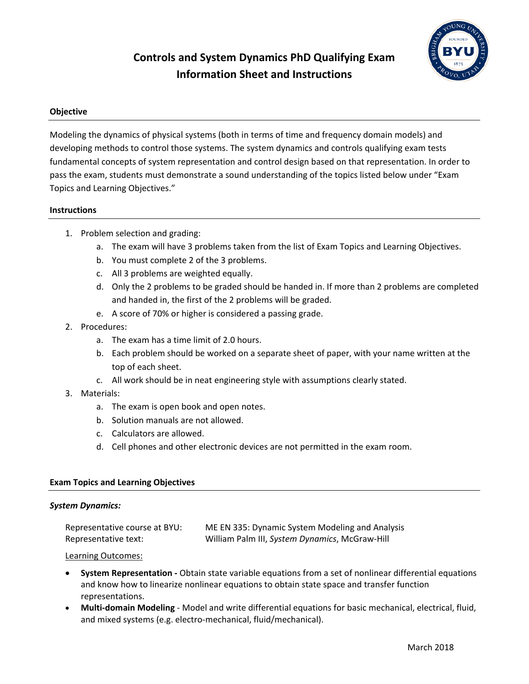# **Controls and System Dynamics PhD Qualifying Exam Information Sheet and Instructions**



## **Objective**

Modeling the dynamics of physical systems (both in terms of time and frequency domain models) and developing methods to control those systems. The system dynamics and controls qualifying exam tests fundamental concepts of system representation and control design based on that representation. In order to pass the exam, students must demonstrate a sound understanding of the topics listed below under "Exam Topics and Learning Objectives."

## **Instructions**

- 1. Problem selection and grading:
	- a. The exam will have 3 problems taken from the list of Exam Topics and Learning Objectives.
	- b. You must complete 2 of the 3 problems.
	- c. All 3 problems are weighted equally.
	- d. Only the 2 problems to be graded should be handed in. If more than 2 problems are completed and handed in, the first of the 2 problems will be graded.
	- e. A score of 70% or higher is considered a passing grade.
- 2. Procedures:
	- a. The exam has a time limit of 2.0 hours.
	- b. Each problem should be worked on a separate sheet of paper, with your name written at the top of each sheet.
	- c. All work should be in neat engineering style with assumptions clearly stated.
- 3. Materials:
	- a. The exam is open book and open notes.
	- b. Solution manuals are not allowed.
	- c. Calculators are allowed.
	- d. Cell phones and other electronic devices are not permitted in the exam room.

## **Exam Topics and Learning Objectives**

#### *System Dynamics:*

| Representative course at BYU: | ME EN 335: Dynamic System Modeling and Analysis |
|-------------------------------|-------------------------------------------------|
| Representative text:          | William Palm III, System Dynamics, McGraw-Hill  |

#### Learning Outcomes:

- **System Representation -** Obtain state variable equations from a set of nonlinear differential equations and know how to linearize nonlinear equations to obtain state space and transfer function representations.
- **Multi-domain Modeling** Model and write differential equations for basic mechanical, electrical, fluid, and mixed systems (e.g. electro-mechanical, fluid/mechanical).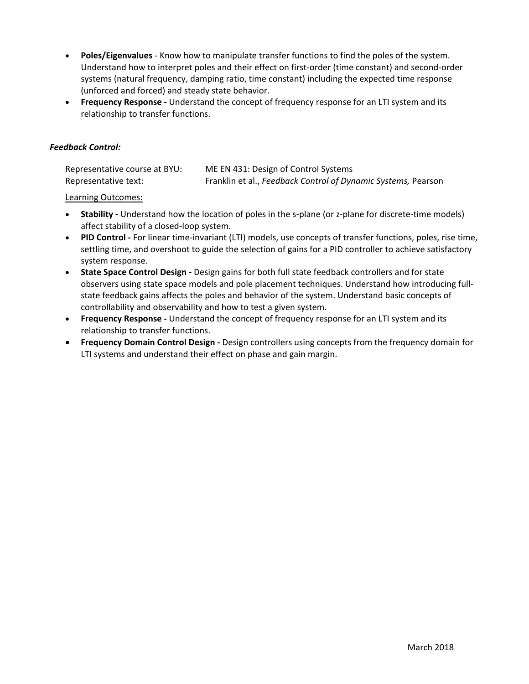- **Poles/Eigenvalues** Know how to manipulate transfer functions to find the poles of the system. Understand how to interpret poles and their effect on first-order (time constant) and second-order systems (natural frequency, damping ratio, time constant) including the expected time response (unforced and forced) and steady state behavior.
- **Frequency Response -** Understand the concept of frequency response for an LTI system and its relationship to transfer functions.

## *Feedback Control:*

| Representative course at BYU: | ME EN 431: Design of Control Systems                          |
|-------------------------------|---------------------------------------------------------------|
| Representative text:          | Franklin et al., Feedback Control of Dynamic Systems, Pearson |

#### Learning Outcomes:

- **Stability -** Understand how the location of poles in the s-plane (or z-plane for discrete-time models) affect stability of a closed-loop system.
- **PID Control -** For linear time-invariant (LTI) models, use concepts of transfer functions, poles, rise time, settling time, and overshoot to guide the selection of gains for a PID controller to achieve satisfactory system response.
- **State Space Control Design -** Design gains for both full state feedback controllers and for state observers using state space models and pole placement techniques. Understand how introducing fullstate feedback gains affects the poles and behavior of the system. Understand basic concepts of controllability and observability and how to test a given system.
- **Frequency Response -** Understand the concept of frequency response for an LTI system and its relationship to transfer functions.
- **Frequency Domain Control Design -** Design controllers using concepts from the frequency domain for LTI systems and understand their effect on phase and gain margin.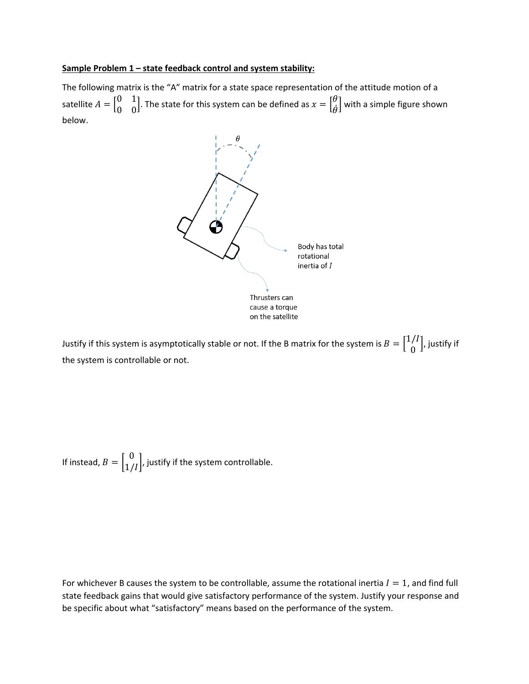#### **Sample Problem 1 – state feedback control and system stability:**

The following matrix is the "A" matrix for a state space representation of the attitude motion of a satellite  $A = \begin{bmatrix} 0 & 1 \\ 0 & 0 \end{bmatrix}$  $\begin{bmatrix} 0 & 1 \ 0 & 0 \end{bmatrix}$ . The state for this system can be defined as  $x = \begin{bmatrix} \theta & 0 \end{bmatrix}$  $\begin{bmatrix} 0 \\ \dot{\theta} \end{bmatrix}$  with a simple figure shown below.



Justify if this system is asymptotically stable or not. If the B matrix for the system is  $B = \begin{bmatrix} 1/I \ 0 \end{bmatrix}$ , justify if the system is controllable or not.

If instead,  $B = \begin{bmatrix} 0 \\ 1/I \end{bmatrix}$ , justify if the system controllable.

For whichever B causes the system to be controllable, assume the rotational inertia  $I = 1$ , and find full state feedback gains that would give satisfactory performance of the system. Justify your response and be specific about what "satisfactory" means based on the performance of the system.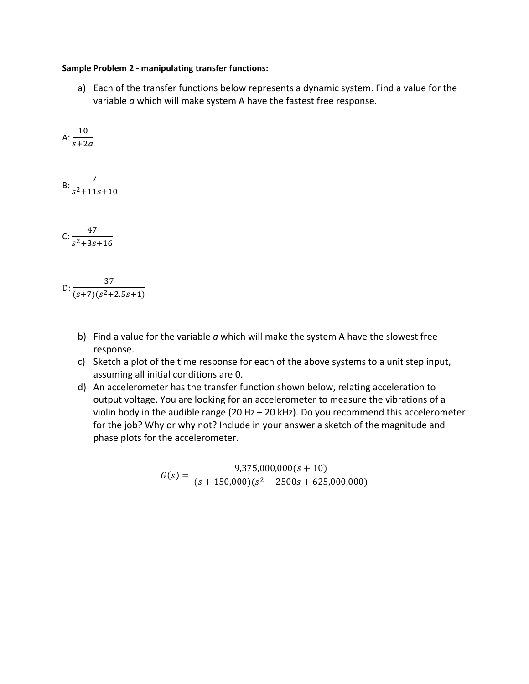## **Sample Problem 2 - manipulating transfer functions:**

a) Each of the transfer functions below represents a dynamic system. Find a value for the variable *a* which will make system A have the fastest free response.

A: 
$$
\frac{10}{s+2a}
$$
  
B: 
$$
\frac{7}{s^2+11s+10}
$$
  
C: 
$$
\frac{47}{s^2+3s+16}
$$

D:  $\frac{37}{(1.5)(1.3.1)}$  $(s+7)(s^2+2.5s+1)$ 

- b) Find a value for the variable *a* which will make the system A have the slowest free response.
- c) Sketch a plot of the time response for each of the above systems to a unit step input, assuming all initial conditions are 0.
- d) An accelerometer has the transfer function shown below, relating acceleration to output voltage. You are looking for an accelerometer to measure the vibrations of a violin body in the audible range (20 Hz – 20 kHz). Do you recommend this accelerometer for the job? Why or why not? Include in your answer a sketch of the magnitude and phase plots for the accelerometer.

$$
G(s) = \frac{9,375,000,000(s+10)}{(s+150,000)(s^2+2500s+625,000,000)}
$$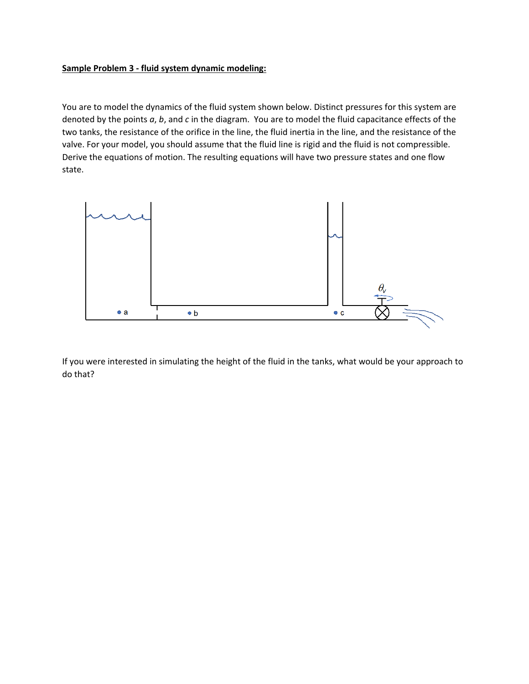## **Sample Problem 3 - fluid system dynamic modeling:**

You are to model the dynamics of the fluid system shown below. Distinct pressures for this system are denoted by the points *a*, *b*, and *c* in the diagram. You are to model the fluid capacitance effects of the two tanks, the resistance of the orifice in the line, the fluid inertia in the line, and the resistance of the valve. For your model, you should assume that the fluid line is rigid and the fluid is not compressible. Derive the equations of motion. The resulting equations will have two pressure states and one flow state.



If you were interested in simulating the height of the fluid in the tanks, what would be your approach to do that?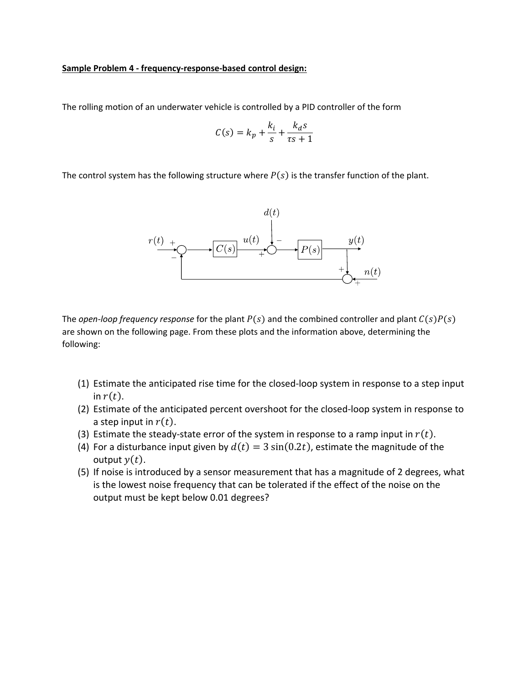#### **Sample Problem 4 - frequency-response-based control design:**

The rolling motion of an underwater vehicle is controlled by a PID controller of the form

$$
C(s) = k_p + \frac{k_i}{s} + \frac{k_d s}{\tau s + 1}
$$

The control system has the following structure where  $P(s)$  is the transfer function of the plant.



The *open-loop frequency response* for the plant  $P(s)$  and the combined controller and plant  $C(s)P(s)$ are shown on the following page. From these plots and the information above, determining the following:

- (1) Estimate the anticipated rise time for the closed-loop system in response to a step input in  $r(t)$ .
- (2) Estimate of the anticipated percent overshoot for the closed-loop system in response to a step input in  $r(t)$ .
- (3) Estimate the steady-state error of the system in response to a ramp input in  $r(t)$ .
- (4) For a disturbance input given by  $d(t) = 3 \sin(0.2t)$ , estimate the magnitude of the output  $y(t)$ .
- (5) If noise is introduced by a sensor measurement that has a magnitude of 2 degrees, what is the lowest noise frequency that can be tolerated if the effect of the noise on the output must be kept below 0.01 degrees?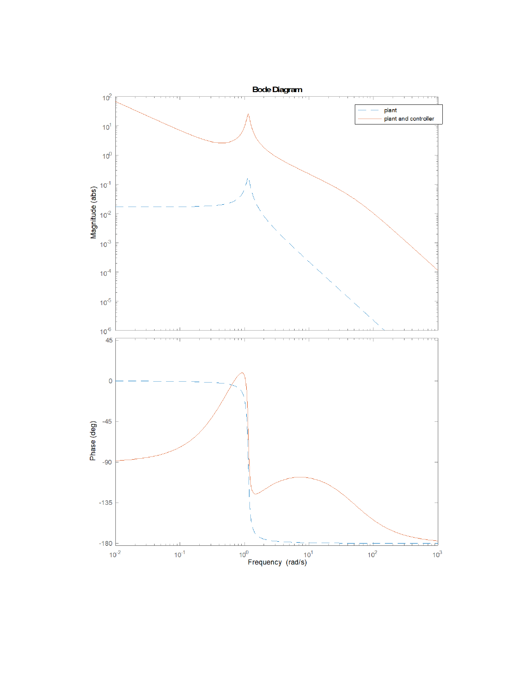